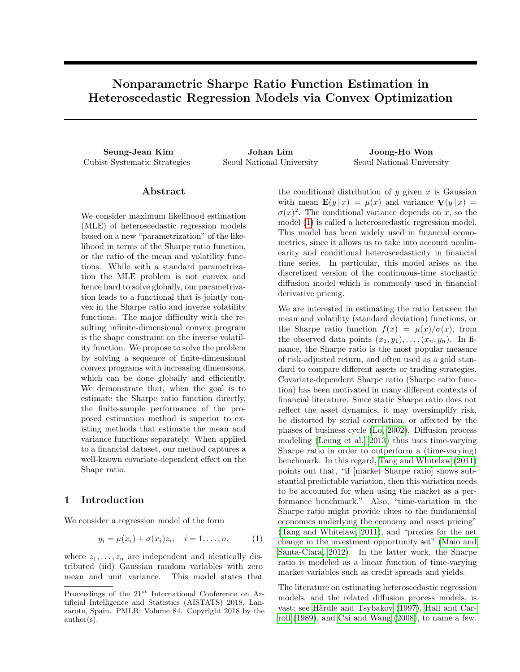# Nonparametric Sharpe Ratio Function Estimation in Heteroscedastic Regression Models via Convex Optimization

Seung-Jean Kim Johan Lim Joong-Ho Won Cubist Systematic Strategies Seoul National University Seoul National University

# Abstract

We consider maximum likelihood estimation (MLE) of heteroscedastic regression models based on a new "parametrization" of the likelihood in terms of the Sharpe ratio function, or the ratio of the mean and volatility functions. While with a standard parametrization the MLE problem is not convex and hence hard to solve globally, our parametrization leads to a functional that is jointly convex in the Sharpe ratio and inverse volatility functions. The major difficulty with the resulting infinite-dimensional convex program is the shape constraint on the inverse volatility function. We propose to solve the problem by solving a sequence of finite-dimensional convex programs with increasing dimensions, which can be done globally and efficiently. We demonstrate that, when the goal is to estimate the Sharpe ratio function directly, the finite-sample performance of the proposed estimation method is superior to existing methods that estimate the mean and variance functions separately. When applied to a financial dataset, our method captures a well-known covariate-dependent effect on the Shape ratio.

### 1 Introduction

We consider a regression model of the form

$$
y_i = \mu(x_i) + \sigma(x_i)z_i, \quad i = 1, \dots, n,
$$
 (1)

where  $z_1, \ldots, z_n$  are independent and identically distributed (iid) Gaussian random variables with zero mean and unit variance. This model states that

the conditional distribution of  $y$  given  $x$  is Gaussian with mean  $\mathbf{E}(y|x) = \mu(x)$  and variance  $\mathbf{V}(y|x) =$  $\sigma(x)^2$ . The conditional variance depends on x, so the model [\(1\)](#page-0-0) is called a heteroscedastic regression model. This model has been widely used in financial econometrics, since it allows us to take into account nonlinearity and conditional heteroscedasticity in financial time series. In particular, this model arises as the discretized version of the continuous-time stochastic diffusion model which is commonly used in financial derivative pricing.

We are interested in estimating the ratio between the mean and volatility (standard deviation) functions, or the Sharpe ratio function  $f(x) = \mu(x)/\sigma(x)$ , from the observed data points  $(x_1, y_1), \ldots, (x_n, y_n)$ . In finance, the Sharpe ratio is the most popular measure of risk-adjusted return, and often used as a gold standard to compare different assets or trading strategies. Covariate-dependent Sharpe ratio (Sharpe ratio function) has been motivated in many different contexts of financial literature. Since static Sharpe ratio does not reflect the asset dynamics, it may oversimplify risk, be distorted by serial correlation, or affected by the phases of business cycle [\(Lo, 2002\)](#page-8-0). Diffusion process modeling [\(Leung et al., 2013\)](#page-8-1) thus uses time-varying Sharpe ratio in order to outperform a (time-varying) benchmark. In this regard, [Tang and Whitelaw](#page-8-2) [\(2011\)](#page-8-2) points out that, "if [market Sharpe ratio] shows substantial predictable variation, then this variation needs to be accounted for when using the market as a performance benchmark." Also, "time-variation in the Sharpe ratio might provide clues to the fundamental economics underlying the economy and asset pricing" [\(Tang and Whitelaw, 2011\)](#page-8-2), and "proxies for the net change in the investment opportunity set" [\(Maio and](#page-8-3) [Santa-Clara, 2012\)](#page-8-3). In the latter work, the Sharpe ratio is modeled as a linear function of time-varying market variables such as credit spreads and yields.

<span id="page-0-0"></span>The literature on estimating heteroscedastic regression models, and the related diffusion process models, is vast; see Härdle and Tsybakov [\(1997\)](#page-8-4), [Hall and Car](#page-8-5)[roll](#page-8-5) [\(1989\)](#page-8-5), and [Cai and Wang](#page-8-6) [\(2008\)](#page-8-6), to name a few.

Proceedings of the  $21^{st}$  International Conference on Artificial Intelligence and Statistics (AISTATS) 2018, Lanzarote, Spain. PMLR: Volume 84. Copyright 2018 by the author(s).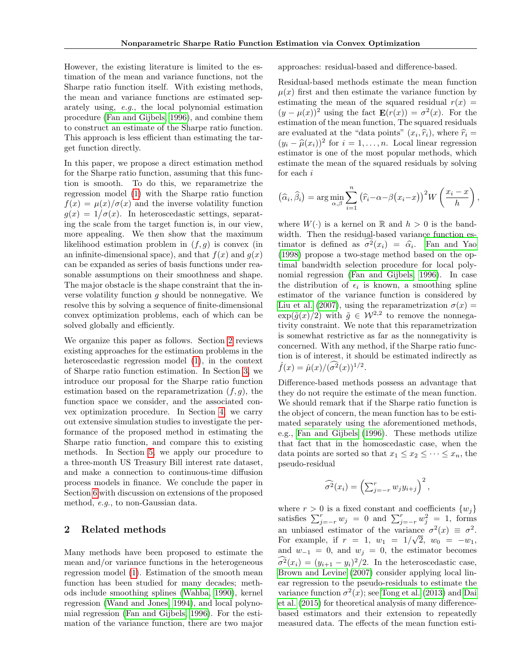However, the existing literature is limited to the estimation of the mean and variance functions, not the Sharpe ratio function itself. With existing methods, the mean and variance functions are estimated separately using, e.g., the local polynomial estimation procedure [\(Fan and Gijbels, 1996\)](#page-8-7), and combine them to construct an estimate of the Sharpe ratio function. This approach is less efficient than estimating the target function directly.

In this paper, we propose a direct estimation method for the Sharpe ratio function, assuming that this function is smooth. To do this, we reparametrize the regression model [\(1\)](#page-0-0) with the Sharpe ratio function  $f(x) = \mu(x)/\sigma(x)$  and the inverse volatility function  $g(x) = 1/\sigma(x)$ . In heteroscedastic settings, separating the scale from the target function is, in our view, more appealing. We then show that the maximum likelihood estimation problem in  $(f, g)$  is convex (in an infinite-dimensional space), and that  $f(x)$  and  $g(x)$ can be expanded as series of basis functions under reasonable assumptions on their smoothness and shape. The major obstacle is the shape constraint that the inverse volatility function  $q$  should be nonnegative. We resolve this by solving a sequence of finite-dimensional convex optimization problems, each of which can be solved globally and efficiently.

We organize this paper as follows. Section [2](#page-1-0) reviews existing approaches for the estimation problems in the heteroscedastic regression model [\(1\)](#page-0-0), in the context of Sharpe ratio function estimation. In Section [3,](#page-2-0) we introduce our proposal for the Sharpe ratio function estimation based on the reparametrization  $(f, g)$ , the function space we consider, and the associated convex optimization procedure. In Section [4,](#page-4-0) we carry out extensive simulation studies to investigate the performance of the proposed method in estimating the Sharpe ratio function, and compare this to existing methods. In Section [5,](#page-5-0) we apply our procedure to a three-month US Treasury Bill interest rate dataset, and make a connection to continuous-time diffusion process models in finance. We conclude the paper in Section [6](#page-7-0) with discussion on extensions of the proposed method, e.g., to non-Gaussian data.

# <span id="page-1-0"></span>2 Related methods

Many methods have been proposed to estimate the mean and/or variance functions in the heterogeneous regression model [\(1\)](#page-0-0). Estimation of the smooth mean function has been studied for many decades; methods include smoothing splines [\(Wahba, 1990\)](#page-9-0), kernel regression [\(Wand and Jones, 1994\)](#page-9-1), and local polynomial regression [\(Fan and Gijbels, 1996\)](#page-8-7). For the estimation of the variance function, there are two major

approaches: residual-based and difference-based.

Residual-based methods estimate the mean function  $\mu(x)$  first and then estimate the variance function by estimating the mean of the squared residual  $r(x) =$  $(y - \mu(x))^2$  using the fact  $\mathbf{E}(r(x)) = \sigma^2(x)$ . For the estimation of the mean function, The squared residuals are evaluated at the "data points"  $(x_i, \hat{r}_i)$ , where  $\hat{r}_i = (u_i - \hat{u}(x_i))^2$  for  $i = 1$ , and lead linear regression  $(y_i - \hat{\mu}(x_i))^2$  for  $i = 1, ..., n$ . Local linear regression estimator is one of the most popular methods, which estimate the mean of the squared residuals by solving for each i

$$
(\widehat{\alpha}_i, \widehat{\beta}_i) = \arg\min_{\alpha, \beta} \sum_{i=1}^n (\widehat{r}_i - \alpha - \beta(x_i - x))^2 W\left(\frac{x_i - x}{h}\right),
$$

where  $W(\cdot)$  is a kernel on R and  $h > 0$  is the bandwidth. Then the residual-based variance function estimator is defined as  $\sigma^2(x_i) = \hat{\alpha}_i$ . [Fan and Yao](#page-8-8) [\(1998\)](#page-8-8) propose a two-stage method based on the optimal bandwidth selection procedure for local polynomial regression [\(Fan and Gijbels, 1996\)](#page-8-7). In case the distribution of  $\epsilon_i$  is known, a smoothing spline estimator of the variance function is considered by [Liu et al.](#page-8-9) [\(2007\)](#page-8-9), using the reparametrization  $\sigma(x)$  =  $\exp(\tilde{g}(x)/2)$  with  $\tilde{g} \in \mathcal{W}^{2,2}$  to remove the nonnegativity constraint. We note that this reparametrization is somewhat restrictive as far as the nonnegativity is concerned. With any method, if the Sharpe ratio function is of interest, it should be estimated indirectly as  $\hat{f}(x) = \hat{\mu}(x) / (\widehat{\sigma^2}(x))^{1/2}.$ 

Difference-based methods possess an advantage that they do not require the estimate of the mean function. We should remark that if the Sharpe ratio function is the object of concern, the mean function has to be estimated separately using the aforementioned methods, e.g., [Fan and Gijbels](#page-8-7) [\(1996\)](#page-8-7). These methods utilize that fact that in the homoscedastic case, when the data points are sorted so that  $x_1 \leq x_2 \leq \cdots \leq x_n$ , the pseudo-residual

$$
\widehat{\sigma^2}(x_i) = \left(\sum_{j=-r}^r w_j y_{i+j}\right)^2,
$$

where  $r > 0$  is a fixed constant and coefficients  $\{w_i\}$ satisfies  $\sum_{j=-r}^{r} w_j = 0$  and  $\sum_{j=-r}^{r} w_j^2 = 1$ , forms an unbiased estimator of the variance  $\sigma^2(x) \equiv \sigma^2$ . For example, if  $r = 1$ ,  $w_1 = 1/\sqrt{2}$ ,  $w_0 = -w_1$ , and  $w_{-1} = 0$ , and  $w_j = 0$ , the estimator becomes  $\sigma^2(x_i) = (y_{i+1} - y_i)^2/2$ . In the heteroscedastic case, [Brown and Levine](#page-8-10) [\(2007\)](#page-8-10) consider applying local linear regression to the pseudo-residuals to estimate the variance function  $\sigma^2(x)$ ; see [Tong et al.](#page-9-2) [\(2013\)](#page-9-2) and [Dai](#page-8-11) [et al.](#page-8-11) [\(2015\)](#page-8-11) for theoretical analysis of many differencebased estimators and their extension to repeatedly measured data. The effects of the mean function esti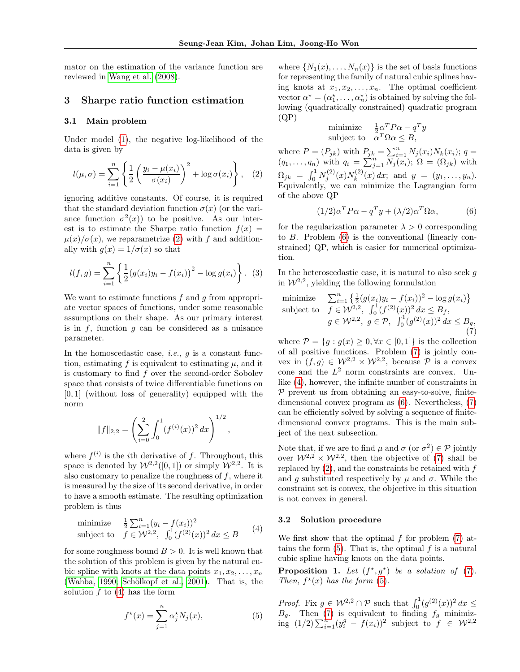mator on the estimation of the variance function are reviewed in [Wang et al.](#page-9-3) [\(2008\)](#page-9-3).

### <span id="page-2-0"></span>3 Sharpe ratio function estimation

### 3.1 Main problem

Under model [\(1\)](#page-0-0), the negative log-likelihood of the data is given by

$$
l(\mu, \sigma) = \sum_{i=1}^{n} \left\{ \frac{1}{2} \left( \frac{y_i - \mu(x_i)}{\sigma(x_i)} \right)^2 + \log \sigma(x_i) \right\}, \quad (2)
$$

ignoring additive constants. Of course, it is required that the standard deviation function  $\sigma(x)$  (or the variance function  $\sigma^2(x)$  to be positive. As our interest is to estimate the Sharpe ratio function  $f(x) =$  $\mu(x)/\sigma(x)$ , we reparametrize [\(2\)](#page-2-1) with f and additionally with  $q(x) = 1/\sigma(x)$  so that

$$
l(f,g) = \sum_{i=1}^{n} \left\{ \frac{1}{2} (g(x_i)y_i - f(x_i))^2 - \log g(x_i) \right\}.
$$
 (3)

We want to estimate functions  $f$  and  $q$  from appropriate vector spaces of functions, under some reasonable assumptions on their shape. As our primary interest is in  $f$ , function  $g$  can be considered as a nuisance parameter.

In the homoscedastic case, *i.e.*,  $q$  is a constant function, estimating f is equivalent to estimating  $\mu$ , and it is customary to find  $f$  over the second-order Sobolev space that consists of twice differentiable functions on  $[0, 1]$  (without loss of generality) equipped with the norm

$$
||f||_{2,2} = \left(\sum_{i=0}^{2} \int_{0}^{1} (f^{(i)}(x))^{2} dx\right)^{1/2}
$$

,

where  $f^{(i)}$  is the *i*th derivative of f. Throughout, this space is denoted by  $W^{2,2}([0,1])$  or simply  $W^{2,2}$ . It is also customary to penalize the roughness of  $f$ , where it is measured by the size of its second derivative, in order to have a smooth estimate. The resulting optimization problem is thus

minimize 
$$
\frac{1}{2} \sum_{i=1}^{n} (y_i - f(x_i))^2
$$
  
subject to  $f \in \mathcal{W}^{2,2}$ ,  $\int_0^1 (f^{(2)}(x))^2 dx \le B$  (4)

for some roughness bound  $B > 0$ . It is well known that the solution of this problem is given by the natural cubic spline with knots at the data points  $x_1, x_2, \ldots, x_n$ [\(Wahba, 1990;](#page-9-0) Schölkopf et al., 2001). That is, the solution  $f$  to  $(4)$  has the form

<span id="page-2-5"></span>
$$
f^{\star}(x) = \sum_{j=1}^{n} \alpha_j^{\star} N_j(x), \qquad (5)
$$

where  $\{N_1(x), \ldots, N_n(x)\}\$ is the set of basis functions for representing the family of natural cubic splines having knots at  $x_1, x_2, \ldots, x_n$ . The optimal coefficient vector  $\alpha^* = (\alpha_1^*, \dots, \alpha_n^*)$  is obtained by solving the following (quadratically constrained) quadratic program  $(QP)$ 

minimize 
$$
\frac{1}{2}\alpha^T P \alpha - q^T y
$$
  
subject to  $\alpha^T \Omega \alpha \leq B$ ,

<span id="page-2-1"></span>where  $P = (P_{jk})$  with  $P_{jk} = \sum_{i=1}^{n} N_j(x_i) N_k(x_i)$ ;  $q =$  $(q_1, \ldots, q_n)$  with  $q_i = \sum_{j=1}^n \widetilde{N}_j(x_i); \ \Omega = (\Omega_{jk})$  with  $\Omega_{jk} = \int_0^1 N_j^{(2)}(x) N_k^{(2)}$  $y_k^{(2)}(x) dx$ ; and  $y = (y_1, \ldots, y_n)$ . Equivalently, we can minimize the Lagrangian form of the above QP

<span id="page-2-4"></span><span id="page-2-3"></span>
$$
(1/2)\alpha^T P \alpha - q^T y + (\lambda/2)\alpha^T \Omega \alpha, \tag{6}
$$

for the regularization parameter  $\lambda > 0$  corresponding to B. Problem [\(6\)](#page-2-3) is the conventional (linearly constrained) QP, which is easier for numerical optimization.

<span id="page-2-7"></span>In the heteroscedastic case, it is natural to also seek  $g$ in  $W^{2,2}$ , yielding the following formulation

minimize 
$$
\sum_{i=1}^{n} \left\{ \frac{1}{2} (g(x_i)y_i - f(x_i))^2 - \log g(x_i) \right\}
$$
  
subject to  $f \in \mathcal{W}^{2,2}$ ,  $\int_0^1 (f^{(2)}(x))^2 dx \leq B_f$ ,  
 $g \in \mathcal{W}^{2,2}$ ,  $g \in \mathcal{P}$ ,  $\int_0^1 (g^{(2)}(x))^2 dx \leq B_g$ ,  
(7)

where  $\mathcal{P} = \{g : g(x) \geq 0, \forall x \in [0,1]\}$  is the collection of all positive functions. Problem [\(7\)](#page-2-4) is jointly convex in  $(f, g) \in \mathcal{W}^{2,2} \times \mathcal{W}^{2,2}$ , because  $\mathcal P$  is a convex cone and the  $L^2$  norm constraints are convex. Unlike [\(4\)](#page-2-2), however, the infinite number of constraints in  $P$  prevent us from obtaining an easy-to-solve, finitedimensional convex program as [\(6\)](#page-2-3). Nevertheless, [\(7\)](#page-2-4) can be efficiently solved by solving a sequence of finitedimensional convex programs. This is the main subject of the next subsection.

Note that, if we are to find  $\mu$  and  $\sigma$  (or  $\sigma^2$ )  $\in \mathcal{P}$  jointly over  $W^{2,2} \times W^{2,2}$ , then the objective of [\(7\)](#page-2-4) shall be replaced by [\(2\)](#page-2-1), and the constraints be retained with f and q substituted respectively by  $\mu$  and  $\sigma$ . While the constraint set is convex, the objective in this situation is not convex in general.

#### <span id="page-2-2"></span>3.2 Solution procedure

We first show that the optimal  $f$  for problem  $(7)$  attains the form  $(5)$ . That is, the optimal f is a natural cubic spline having knots on the data points.

<span id="page-2-6"></span>**Proposition 1.** Let  $(f^*, g^*)$  be a solution of [\(7\)](#page-2-4). Then,  $f^*(x)$  has the form [\(5\)](#page-2-5).

*Proof.* Fix  $g \in \mathcal{W}^{2,2} \cap \mathcal{P}$  such that  $\int_0^1 (g^{(2)}(x))^2 dx \le$  $B_g$ . Then [\(7\)](#page-2-4) is equivalent to finding  $f_g$  minimizing  $(1/2)\sum_{i=1}^{n} (y_i^g - f(x_i))^2$  subject to  $f \in \mathcal{W}^{2,2}$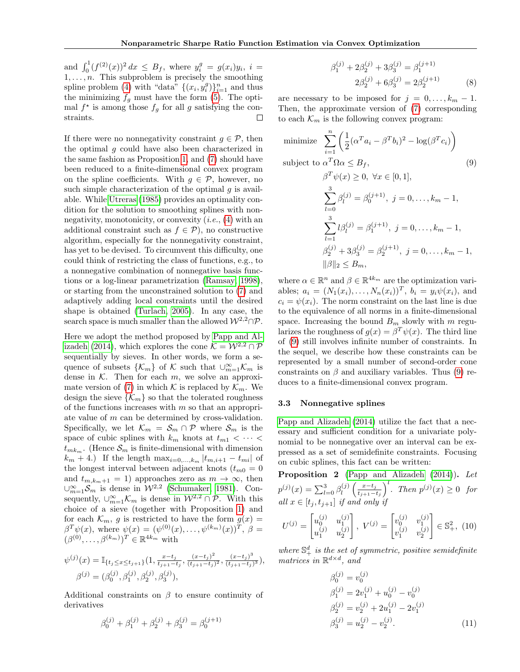and  $\int_0^1 (f^{(2)}(x))^2 dx \leq B_f$ , where  $y_i^g = g(x_i)y_i$ ,  $i =$  $1, \ldots, n$ . This subproblem is precisely the smoothing spline problem [\(4\)](#page-2-2) with "data"  $\{(x_i, y_i^g)\}_{i=1}^n$  and thus the minimizing  $f<sub>g</sub>$  must have the form [\(5\)](#page-2-5). The optimal  $f^*$  is among those  $f_g$  for all g satisfying the constraints. П

If there were no nonnegativity constraint  $q \in \mathcal{P}$ , then the optimal  $g$  could have also been characterized in the same fashion as Proposition [1,](#page-2-6) and [\(7\)](#page-2-4) should have been reduced to a finite-dimensional convex program on the spline coefficients. With  $g \in \mathcal{P}$ , however, no such simple characterization of the optimal  $q$  is available. While [Utreras](#page-9-4) [\(1985\)](#page-9-4) provides an optimality condition for the solution to smoothing splines with nonnegativity, monotonicity, or convexity  $(i.e., (4)$  $(i.e., (4)$  with an additional constraint such as  $f \in \mathcal{P}$ ), no constructive algorithm, especially for the nonnegativity constraint, has yet to be devised. To circumvent this difficulty, one could think of restricting the class of functions, e.g., to a nonnegative combination of nonnegative basis functions or a log-linear parametrization [\(Ramsay, 1998\)](#page-8-13), or starting from the unconstrained solution to [\(7\)](#page-2-4) and adaptively adding local constraints until the desired shape is obtained [\(Turlach, 2005\)](#page-9-5). In any case, the search space is much smaller than the allowed  $\mathcal{W}^{2,2}\cap \mathcal{P}$ .

Here we adopt the method proposed by [Papp and Al](#page-8-14)[izadeh](#page-8-14) [\(2014\)](#page-8-14), which explores the cone  $\mathcal{K} = \mathcal{W}^{2,2} \cap \mathcal{P}$ sequentially by sieves. In other words, we form a sequence of subsets  $\{\mathcal{K}_m\}$  of  $\mathcal{K}$  such that  $\cup_{m=1}^{\infty} \mathcal{K}_m$  is dense in  $K$ . Then for each  $m$ , we solve an approxi-mate version of [\(7\)](#page-2-4) in which K is replaced by  $\mathcal{K}_m$ . We design the sieve  $\{\mathcal{K}_m\}$  so that the tolerated roughness of the functions increases with  $m$  so that an appropriate value of m can be determined by cross-validation. Specifically, we let  $\mathcal{K}_m = \mathcal{S}_m \cap \mathcal{P}$  where  $\mathcal{S}_m$  is the space of cubic splines with  $k_m$  knots at  $t_{m1} < \cdots <$  $t_{mk_m}$ . (Hence  $\mathcal{S}_m$  is finite-dimensional with dimension  $k_m + 4$ .) If the length  $\max_{i=0,\dots,k_m} |t_{m,i+1} - t_{mi}|$  of the longest interval between adjacent knots  $(t_{m0} = 0)$ and  $t_{m,k_m+1} = 1$ ) approaches zero as  $m \to \infty$ , then ∪ $\cup_{m=1}^{\infty}$  S<sub>m</sub> is dense in  $W^{2,2}$  [\(Schumaker, 1981\)](#page-8-15). Consequently,  $\cup_{m=1}^{\infty}$  K<sub>m</sub> is dense in  $W^{2,2} \cap \mathcal{P}$ . With this choice of a sieve (together with Proposition [1\)](#page-2-6) and for each  $\mathcal{K}_m$ , g is restricted to have the form  $g(x) =$  $\beta^T \psi(x)$ , where  $\psi(x) = (\psi^{(0)}(x), \dots, \psi^{(k_m)}(x))^T$ ,  $\beta =$  $(\beta^{(0)}, \ldots, \beta^{(k_m)})^T \in \mathbb{R}^{4k_m}$  with

$$
\psi^{(j)}(x) = \mathbb{I}_{\{t_j \le x \le t_{j+1}\}}(1, \frac{x-t_j}{t_{j+1}-t_j}, \frac{(x-t_j)^2}{(t_{j+1}-t_j)^2}, \frac{(x-t_j)^3}{(t_{j+1}-t_j)^3}),
$$
  

$$
\beta^{(j)} = (\beta_0^{(j)}, \beta_1^{(j)}, \beta_2^{(j)}, \beta_3^{(j)}),
$$

Additional constraints on  $\beta$  to ensure continuity of derivatives

$$
\beta_0^{(j)}+\beta_1^{(j)}+\beta_2^{(j)}+\beta_3^{(j)}=\beta_0^{(j+1)}
$$

<span id="page-3-3"></span>
$$
\beta_1^{(j)} + 2\beta_2^{(j)} + 3\beta_3^{(j)} = \beta_1^{(j+1)}
$$
  

$$
2\beta_2^{(j)} + 6\beta_3^{(j)} = 2\beta_2^{(j+1)}
$$
 (8)

are necessary to be imposed for  $j = 0, \ldots, k_m - 1$ . Then, the approximate version of [\(7\)](#page-2-4) corresponding to each  $\mathcal{K}_m$  is the following convex program:

minimize 
$$
\sum_{i=1}^{n} \left( \frac{1}{2} (\alpha^T a_i - \beta^T b_i)^2 - \log(\beta^T c_i) \right)
$$
  
subject to 
$$
\alpha^T \Omega \alpha \leq B_f,
$$

$$
\beta^T \psi(x) \geq 0, \forall x \in [0, 1],
$$

$$
\sum_{i=1}^{3} \beta_i^{(j)} = \beta_0^{(j+1)}, \ j = 0, \dots, k_m - 1,
$$

<span id="page-3-0"></span>
$$
\overline{l=0}
$$
\n
$$
\sum_{l=1}^{3} l\beta_{l}^{(j)} = \beta_{1}^{(j+1)}, \ j = 0, \dots, k_{m} - 1,
$$
\n
$$
\beta_{2}^{(j)} + 3\beta_{3}^{(j)} = \beta_{2}^{(j+1)}, \ j = 0, \dots, k_{m} - 1,
$$
\n
$$
\|\beta\|_{2} \leq B_{m},
$$

where  $\alpha \in \mathbb{R}^n$  and  $\beta \in \mathbb{R}^{4k_m}$  are the optimization variables;  $a_i = (N_1(x_i), \ldots, N_n(x_i))^T$ ,  $b_i = y_i \psi(x_i)$ , and  $c_i = \psi(x_i)$ . The norm constraint on the last line is due to the equivalence of all norms in a finite-dimensional space. Increasing the bound  $B_m$  slowly with m regularizes the roughness of  $g(x) = \beta^T \psi(x)$ . The third line of [\(9\)](#page-3-0) still involves infinite number of constraints. In the sequel, we describe how these constraints can be represented by a small number of second-order cone constraints on  $\beta$  and auxiliary variables. Thus [\(9\)](#page-3-0) reduces to a finite-dimensional convex program.

#### 3.3 Nonnegative splines

[Papp and Alizadeh](#page-8-14) [\(2014\)](#page-8-14) utilize the fact that a necessary and sufficient condition for a univariate polynomial to be nonnegative over an interval can be expressed as a set of semidefinite constraints. Focusing on cubic splines, this fact can be written:

**Proposition 2** [\(Papp and Alizadeh](#page-8-14) [\(2014\)](#page-8-14)). Let  $p^{(j)}(x) = \sum_{l=0}^{3} \beta_l^{(j)}$  $\binom{j}{l}\left(\frac{x-t_j}{t_{j+1}-}\right)$  $\left(\frac{x-t_j}{t_{j+1}-t_j}\right)^l$ . Then  $p^{(j)}(x) \geq 0$  for all  $x \in [t_j, t_{j+1}]$  if and only if

$$
U^{(j)} = \begin{bmatrix} u_0^{(j)} & u_1^{(j)} \\ u_1^{(j)} & u_2^{(j)} \end{bmatrix}, \ V^{(j)} = \begin{bmatrix} v_0^{(j)} & v_1^{(j)} \\ v_1^{(j)} & v_2^{(j)} \end{bmatrix} \in \mathbb{S}_+^2, \ (10)
$$

where  $\mathbb{S}^d_+$  is the set of symmetric, positive semidefinite matrices in  $\mathbb{R}^{d \times d}$ , and

<span id="page-3-2"></span><span id="page-3-1"></span>
$$
\beta_0^{(j)} = v_0^{(j)}
$$
  
\n
$$
\beta_1^{(j)} = 2v_1^{(j)} + u_0^{(j)} - v_0^{(j)}
$$
  
\n
$$
\beta_2^{(j)} = v_2^{(j)} + 2u_1^{(j)} - 2v_1^{(j)}
$$
  
\n
$$
\beta_3^{(j)} = u_2^{(j)} - v_2^{(j)}.
$$
\n(11)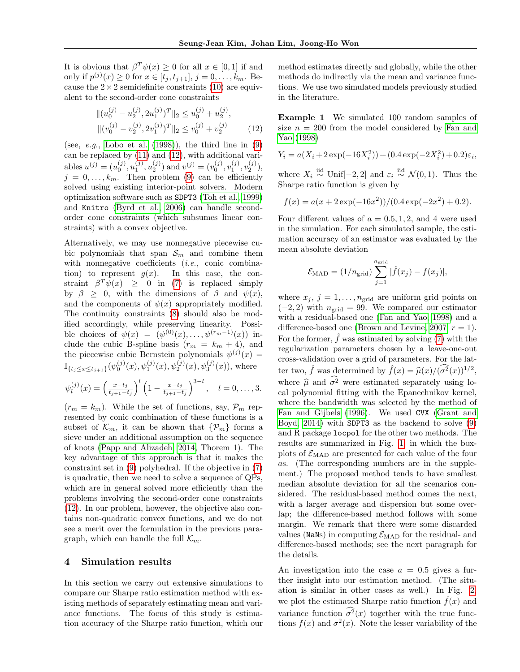It is obvious that  $\beta^T \psi(x) \geq 0$  for all  $x \in [0,1]$  if and only if  $p^{(j)}(x) \ge 0$  for  $x \in [t_j, t_{j+1}], j = 0, ..., k_m$ . Because the  $2 \times 2$  semidefinite constraints [\(10\)](#page-3-1) are equivalent to the second-order cone constraints

$$
|| (u_0^{(j)} - u_2^{(j)}, 2u_1^{(j)})^T ||_2 \le u_0^{(j)} + u_2^{(j)},
$$
  
 
$$
|| (v_0^{(j)} - v_2^{(j)}, 2v_1^{(j)})^T ||_2 \le v_0^{(j)} + v_2^{(j)}
$$
 (12)

(see,  $e.g.,$  [Lobo et al.](#page-8-16) [\(1998\)](#page-8-16)), the third line in [\(9\)](#page-3-0) can be replaced by [\(11\)](#page-3-2) and [\(12\)](#page-4-1), with additional variables  $u^{(j)} = (u_0^{(j)}, u_1^{(j)}, u_2^{(j)})$  and  $v^{(j)} = (v_0^{(j)}, v_1^{(j)}, v_2^{(j)})$ ,  $j = 0, \ldots, k_m$ . Then problem [\(9\)](#page-3-0) can be efficiently solved using existing interior-point solvers. Modern optimization software such as SDPT3 [\(Toh et al., 1999\)](#page-9-6) and Knitro [\(Byrd et al., 2006\)](#page-8-17) can handle secondorder cone constraints (which subsumes linear constraints) with a convex objective.

Alternatively, we may use nonnegative piecewise cubic polynomials that span  $S_m$  and combine them with nonnegative coefficients  $(i.e., conic combina$ tion) to represent  $g(x)$ . In this case, the constraint  $\beta^T \psi(x) \geq 0$  in [\(7\)](#page-2-4) is replaced simply by  $\beta \geq 0$ , with the dimensions of  $\beta$  and  $\psi(x)$ , and the components of  $\psi(x)$  appropriately modified. The continuity constraints [\(8\)](#page-3-3) should also be modified accordingly, while preserving linearity. Possible choices of  $\psi(x) = (\psi^{(0)}(x), \dots, \psi^{(r_m-1)}(x))$  include the cubic B-spline basis  $(r_m = k_m + 4)$ , and the piecewise cubic Bernstein polynomials  $\psi^{(j)}(x) =$  $\mathbb{I}_{\{t_j \leq x \leq t_{j+1}\}}(\psi_0^{(j)}(x), \psi_1^{(j)}(x), \psi_2^{(j)}(x), \psi_3^{(j)}(x)),$  where

$$
\psi_l^{(j)}(x) = \left(\frac{x-t_j}{t_{j+1}-t_j}\right)^l \left(1 - \frac{x-t_j}{t_{j+1}-t_j}\right)^{3-l}, \quad l = 0, \ldots, 3.
$$

 $(r_m = k_m)$ . While the set of functions, say,  $\mathcal{P}_m$  represented by conic combination of these functions is a subset of  $\mathcal{K}_m$ , it can be shown that  $\{\mathcal{P}_m\}$  forms a sieve under an additional assumption on the sequence of knots [\(Papp and Alizadeh, 2014,](#page-8-14) Thorem 1). The key advantage of this approach is that it makes the constraint set in [\(9\)](#page-3-0) polyhedral. If the objective in [\(7\)](#page-2-4) is quadratic, then we need to solve a sequence of QPs, which are in general solved more efficiently than the problems involving the second-order cone constraints [\(12\)](#page-4-1). In our problem, however, the objective also contains non-quadratic convex functions, and we do not see a merit over the formulation in the previous paragraph, which can handle the full  $\mathcal{K}_m$ .

### <span id="page-4-0"></span>4 Simulation results

In this section we carry out extensive simulations to compare our Sharpe ratio estimation method with existing methods of separately estimating mean and variance functions. The focus of this study is estimation accuracy of the Sharpe ratio function, which our

method estimates directly and globally, while the other methods do indirectly via the mean and variance functions. We use two simulated models previously studied in the literature.

<span id="page-4-1"></span>Example 1 We simulated 100 random samples of size  $n = 200$  from the model considered by [Fan and](#page-8-8) [Yao](#page-8-8) [\(1998\)](#page-8-8)

$$
Y_i = a(X_i + 2\exp(-16X_i^2)) + (0.4\exp(-2X_i^2) + 0.2)\varepsilon_i,
$$

where  $X_i \stackrel{\text{iid}}{\sim} \text{Unif}[-2,2]$  and  $\varepsilon_i \stackrel{\text{iid}}{\sim} \mathcal{N}(0,1)$ . Thus the Sharpe ratio function is given by

$$
f(x) = a(x + 2\exp(-16x^{2}))/(0.4\exp(-2x^{2}) + 0.2).
$$

Four different values of  $a = 0.5, 1, 2$ , and 4 were used in the simulation. For each simulated sample, the estimation accuracy of an estimator was evaluated by the mean absolute deviation

$$
\mathcal{E}_{\text{MAD}} = (1/n_{\text{grid}}) \sum_{j=1}^{n_{\text{grid}}} |\hat{f}(x_j) - f(x_j)|,
$$

where  $x_j$ ,  $j = 1, \ldots, n_{grid}$  are uniform grid points on  $(-2, 2)$  with  $n_{grid} = 99$ . We compared our estimator with a residual-based one [\(Fan and Yao, 1998\)](#page-8-8) and a difference-based one [\(Brown and Levine, 2007,](#page-8-10)  $r = 1$ ). For the former,  $\hat{f}$  was estimated by solving [\(7\)](#page-2-4) with the regularization parameters chosen by a leave-one-out cross-validation over a grid of parameters. For the latter two,  $\hat{f}$  was determined by  $\hat{f}(x) = \hat{\mu}(x)/(\hat{\sigma}^2(x))^{1/2}$ , where  $\hat{\mu}$  and  $\hat{\sigma}^2$  were estimated separately using local polynomial fitting with the Epanechnikov kernel, where the bandwidth was selected by the method of [Fan and Gijbels](#page-8-7) [\(1996\)](#page-8-7). We used CVX [\(Grant and](#page-8-18) [Boyd, 2014\)](#page-8-18) with SDPT3 as the backend to solve [\(9\)](#page-3-0) and R package locpol for the other two methods. The results are summarized in Fig. [1,](#page-5-1) in which the boxplots of  $\mathcal{E}_{\text{MAD}}$  are presented for each value of the four as. (The corresponding numbers are in the supplement.) The proposed method tends to have smallest median absolute deviation for all the scenarios considered. The residual-based method comes the next, with a larger average and dispersion but some overlap; the difference-based method follows with some margin. We remark that there were some discarded values (NaNs) in computing  $\mathcal{E}_{\text{MAD}}$  for the residual- and difference-based methods; see the next paragraph for the details.

An investigation into the case  $a = 0.5$  gives a further insight into our estimation method. (The situation is similar in other cases as well.) In Fig. [2,](#page-6-0) we plot the estimated Sharpe ratio function  $\hat{f}(x)$  and variance function  $\widehat{\sigma^2}(x)$  together with the true functions  $f(x)$  and  $\sigma^2(x)$ . Note the lesser variability of the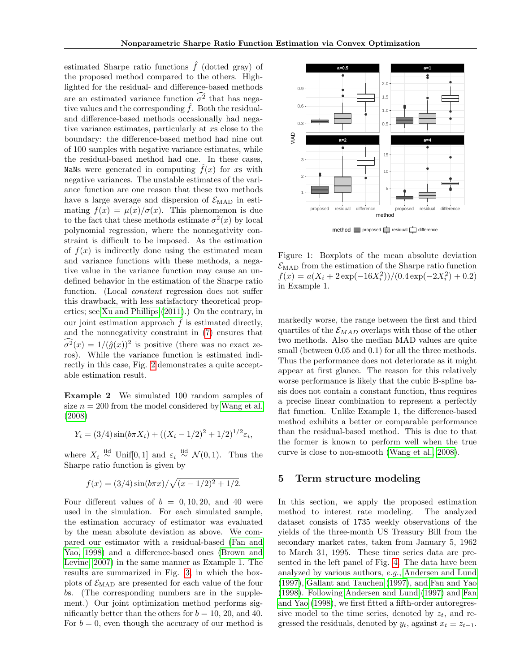estimated Sharpe ratio functions  $\hat{f}$  (dotted gray) of the proposed method compared to the others. Highlighted for the residual- and difference-based methods are an estimated variance function  $\widehat{\sigma^2}$  that has negative values and the corresponding  $\hat{f}$ . Both the residualand difference-based methods occasionally had negative variance estimates, particularly at xs close to the boundary: the difference-based method had nine out of 100 samples with negative variance estimates, while the residual-based method had one. In these cases, NaNs were generated in computing  $f(x)$  for xs with negative variances. The unstable estimates of the variance function are one reason that these two methods have a large average and dispersion of  $\mathcal{E}_{\text{MAD}}$  in estimating  $f(x) = \mu(x)/\sigma(x)$ . This phenomenon is due to the fact that these methods estimate  $\sigma^2(x)$  by local polynomial regression, where the nonnegativity constraint is difficult to be imposed. As the estimation of  $f(x)$  is indirectly done using the estimated mean and variance functions with these methods, a negative value in the variance function may cause an undefined behavior in the estimation of the Sharpe ratio function. (Local *constant* regression does not suffer this drawback, with less satisfactory theoretical properties; see [Xu and Phillips](#page-9-7) [\(2011\)](#page-9-7).) On the contrary, in our joint estimation approach  $\hat{f}$  is estimated directly, and the nonnegativity constraint in [\(7\)](#page-2-4) ensures that  $\widehat{\sigma}^2(x) = 1/(\widehat{g}(x))^2$  is positive (there was no exact zeros). While the variance function is estimated indirectly in this case, Fig. [2](#page-6-0) demonstrates a quite acceptable estimation result.

Example 2 We simulated 100 random samples of size  $n = 200$  from the model considered by [Wang et al.](#page-9-3) [\(2008\)](#page-9-3)

$$
Y_i = (3/4)\sin(b\pi X_i) + ((X_i - 1/2)^2 + 1/2)^{1/2}\varepsilon_i,
$$

where  $X_i \stackrel{\text{iid}}{\sim} \text{Unif}[0,1]$  and  $\varepsilon_i \stackrel{\text{iid}}{\sim} \mathcal{N}(0,1)$ . Thus the Sharpe ratio function is given by

$$
f(x) = (3/4)\sin(b\pi x)/\sqrt{(x-1/2)^2+1/2}.
$$

Four different values of  $b = 0, 10, 20,$  and 40 were used in the simulation. For each simulated sample, the estimation accuracy of estimator was evaluated by the mean absolute deviation as above. We compared our estimator with a residual-based [\(Fan and](#page-8-8) [Yao, 1998\)](#page-8-8) and a difference-based ones [\(Brown and](#page-8-10) [Levine, 2007\)](#page-8-10) in the same manner as Example 1. The results are summarized in Fig. [3,](#page-6-1) in which the boxplots of  $\mathcal{E}_{\text{MAD}}$  are presented for each value of the four bs. (The corresponding numbers are in the supplement.) Our joint optimization method performs significantly better than the others for  $b = 10, 20, \text{ and } 40$ . For  $b = 0$ , even though the accuracy of our method is



<span id="page-5-1"></span> $\text{method} \implies \text{proposed} \implies \text{residual} \implies \text{difference}$ 

Figure 1: Boxplots of the mean absolute deviation  $\mathcal{E}_{\text{MAD}}$  from the estimation of the Sharpe ratio function  $f(x) = a(X_i + 2 \exp(-16X_i^2))/(0.4 \exp(-2X_i^2) + 0.2)$ in Example 1.

markedly worse, the range between the first and third quartiles of the  $\mathcal{E}_{MAD}$  overlaps with those of the other two methods. Also the median MAD values are quite small (between 0.05 and 0.1) for all the three methods. Thus the performance does not deteriorate as it might appear at first glance. The reason for this relatively worse performance is likely that the cubic B-spline basis does not contain a constant function, thus requires a precise linear combination to represent a perfectly flat function. Unlike Example 1, the difference-based method exhibits a better or comparable performance than the residual-based method. This is due to that the former is known to perform well when the true curve is close to non-smooth [\(Wang et al., 2008\)](#page-9-3).

### <span id="page-5-0"></span>5 Term structure modeling

In this section, we apply the proposed estimation method to interest rate modeling. The analyzed dataset consists of 1735 weekly observations of the yields of the three-month US Treasury Bill from the secondary market rates, taken from January 5, 1962 to March 31, 1995. These time series data are presented in the left panel of Fig. [4.](#page-7-1) The data have been analyzed by various authors, e.g., [Andersen and Lund](#page-8-19) [\(1997\)](#page-8-19), [Gallant and Tauchen](#page-8-20) [\(1997\)](#page-8-20), and [Fan and Yao](#page-8-8) [\(1998\)](#page-8-8). Following [Andersen and Lund](#page-8-19) [\(1997\)](#page-8-19) and [Fan](#page-8-8) [and Yao](#page-8-8) [\(1998\)](#page-8-8), we first fitted a fifth-order autoregressive model to the time series, denoted by  $z_t$ , and regressed the residuals, denoted by  $y_t$ , against  $x_t \equiv z_{t-1}$ .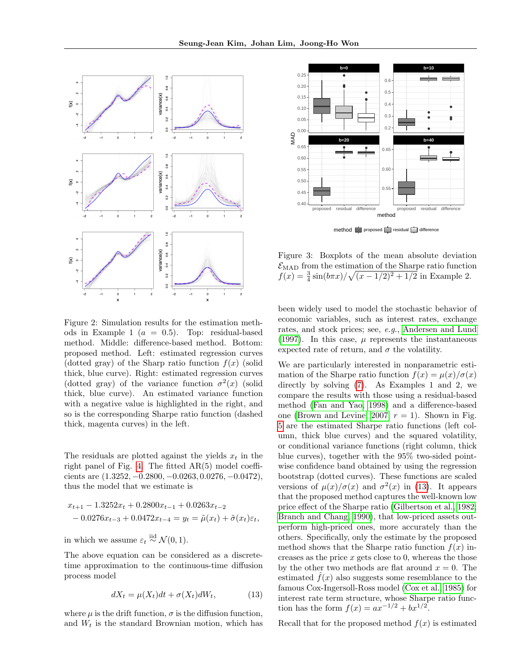

<span id="page-6-0"></span>Figure 2: Simulation results for the estimation methods in Example 1 ( $a = 0.5$ ). Top: residual-based method. Middle: difference-based method. Bottom: proposed method. Left: estimated regression curves (dotted gray) of the Sharp ratio function  $f(x)$  (solid thick, blue curve). Right: estimated regression curves (dotted gray) of the variance function  $\sigma^2(x)$  (solid thick, blue curve). An estimated variance function with a negative value is highlighted in the right, and so is the corresponding Sharpe ratio function (dashed thick, magenta curves) in the left.

The residuals are plotted against the yields  $x_t$  in the right panel of Fig. [4.](#page-7-1) The fitted AR(5) model coefficients are (1.3252, −0.2800, −0.0263, 0.0276, −0.0472), thus the model that we estimate is

$$
x_{t+1} - 1.3252x_t + 0.2800x_{t-1} + 0.0263x_{t-2}
$$
  
- 0.0276x<sub>t-3</sub> + 0.0472x<sub>t-4</sub> =  $y_t = \tilde{\mu}(x_t) + \tilde{\sigma}(x_t)\varepsilon_t$ ,

in which we assume  $\varepsilon_t \stackrel{iid}{\sim} \mathcal{N}(0, 1)$ .

The above equation can be considered as a discretetime approximation to the continuous-time diffusion process model

$$
dX_t = \mu(X_t)dt + \sigma(X_t)dW_t, \qquad (13)
$$

where  $\mu$  is the drift function,  $\sigma$  is the diffusion function, and  $W_t$  is the standard Brownian motion, which has



<span id="page-6-1"></span>Figure 3: Boxplots of the mean absolute deviation  $\mathcal{E}_{\text{MAD}}$  from the estimation of the Sharpe ratio function  $f(x) = \frac{3}{4} \sin(b\pi x) / \sqrt{(x - 1/2)^2 + 1/2}$  in Example 2.

been widely used to model the stochastic behavior of economic variables, such as interest rates, exchange rates, and stock prices; see, e.g., [Andersen and Lund](#page-8-19) [\(1997\)](#page-8-19). In this case,  $\mu$  represents the instantaneous expected rate of return, and  $\sigma$  the volatility.

We are particularly interested in nonparametric estimation of the Sharpe ratio function  $f(x) = \mu(x)/\sigma(x)$ directly by solving [\(7\)](#page-2-4). As Examples 1 and 2, we compare the results with those using a residual-based method [\(Fan and Yao, 1998\)](#page-8-8) and a difference-based one [\(Brown and Levine, 2007,](#page-8-10)  $r = 1$ ). Shown in Fig. [5](#page-7-2) are the estimated Sharpe ratio functions (left column, thick blue curves) and the squared volatility, or conditional variance functions (right column, thick blue curves), together with the 95% two-sided pointwise confidence band obtained by using the regression bootstrap (dotted curves). These functions are scaled versions of  $\mu(x)/\sigma(x)$  and  $\sigma^2(x)$  in [\(13\)](#page-6-2). It appears that the proposed method captures the well-known low price effect of the Sharpe ratio [\(Gilbertson et al., 1982;](#page-8-21) [Branch and Chang, 1990\)](#page-8-22), that low-priced assets outperform high-priced ones, more accurately than the others. Specifically, only the estimate by the proposed method shows that the Sharpe ratio function  $f(x)$  increases as the price  $x$  gets close to 0, whereas the those by the other two methods are flat around  $x = 0$ . The estimated  $\hat{f}(x)$  also suggests some resemblance to the famous Cox-Ingersoll-Ross model [\(Cox et al., 1985\)](#page-8-23) for interest rate term structure, whose Sharpe ratio function has the form  $f(x) = ax^{-1/2} + bx^{1/2}$ .

<span id="page-6-2"></span>Recall that for the proposed method  $f(x)$  is estimated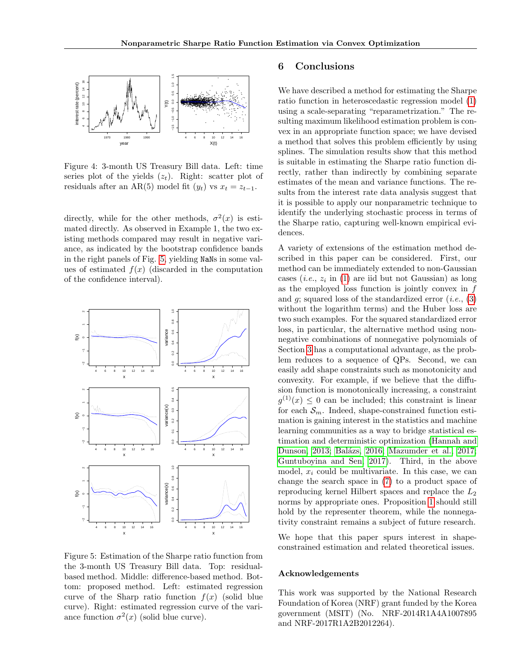

<span id="page-7-1"></span>Figure 4: 3-month US Treasury Bill data. Left: time series plot of the yields  $(z_t)$ . Right: scatter plot of residuals after an AR(5) model fit  $(y_t)$  vs  $x_t = z_{t-1}$ .

directly, while for the other methods,  $\sigma^2(x)$  is estimated directly. As observed in Example 1, the two existing methods compared may result in negative variance, as indicated by the bootstrap confidence bands in the right panels of Fig. [5,](#page-7-2) yielding NaNs in some values of estimated  $f(x)$  (discarded in the computation of the confidence interval).



<span id="page-7-2"></span>Figure 5: Estimation of the Sharpe ratio function from the 3-month US Treasury Bill data. Top: residualbased method. Middle: difference-based method. Bottom: proposed method. Left: estimated regression curve of the Sharp ratio function  $f(x)$  (solid blue curve). Right: estimated regression curve of the variance function  $\sigma^2(x)$  (solid blue curve).

# <span id="page-7-0"></span>6 Conclusions

We have described a method for estimating the Sharpe ratio function in heteroscedastic regression model [\(1\)](#page-0-0) using a scale-separating "reparametrization." The resulting maximum likelihood estimation problem is convex in an appropriate function space; we have devised a method that solves this problem efficiently by using splines. The simulation results show that this method is suitable in estimating the Sharpe ratio function directly, rather than indirectly by combining separate estimates of the mean and variance functions. The results from the interest rate data analysis suggest that it is possible to apply our nonparametric technique to identify the underlying stochastic process in terms of the Sharpe ratio, capturing well-known empirical evidences.

A variety of extensions of the estimation method described in this paper can be considered. First, our method can be immediately extended to non-Gaussian cases  $(i.e., z_i \text{ in } (1) \text{ are iid but not Gaussian})$  $(i.e., z_i \text{ in } (1) \text{ are iid but not Gaussian})$  $(i.e., z_i \text{ in } (1) \text{ are iid but not Gaussian})$  as long as the employed loss function is jointly convex in  $f$ and  $g$ ; squared loss of the standardized error (*i.e.*, [\(3\)](#page-2-7) without the logarithm terms) and the Huber loss are two such examples. For the squared standardized error loss, in particular, the alternative method using nonnegative combinations of nonnegative polynomials of Section [3](#page-2-0) has a computational advantage, as the problem reduces to a sequence of QPs. Second, we can easily add shape constraints such as monotonicity and convexity. For example, if we believe that the diffusion function is monotonically increasing, a constraint  $g^{(1)}(x) \leq 0$  can be included; this constraint is linear for each  $\mathcal{S}_m$ . Indeed, shape-constrained function estimation is gaining interest in the statistics and machine learning communities as a way to bridge statistical estimation and deterministic optimization [\(Hannah and](#page-8-24) [Dunson, 2013;](#page-8-24) Balázs, 2016; [Mazumder et al., 2017;](#page-8-26) [Guntuboyina and Sen, 2017\)](#page-8-27). Third, in the above model,  $x_i$  could be multivariate. In this case, we can change the search space in [\(7\)](#page-2-4) to a product space of reproducing kernel Hilbert spaces and replace the  $L_2$ norms by appropriate ones. Proposition [1](#page-2-6) should still hold by the representer theorem, while the nonnegativity constraint remains a subject of future research.

We hope that this paper spurs interest in shapeconstrained estimation and related theoretical issues.

#### Acknowledgements

This work was supported by the National Research Foundation of Korea (NRF) grant funded by the Korea government (MSIT) (No. NRF-2014R1A4A1007895 and NRF-2017R1A2B2012264).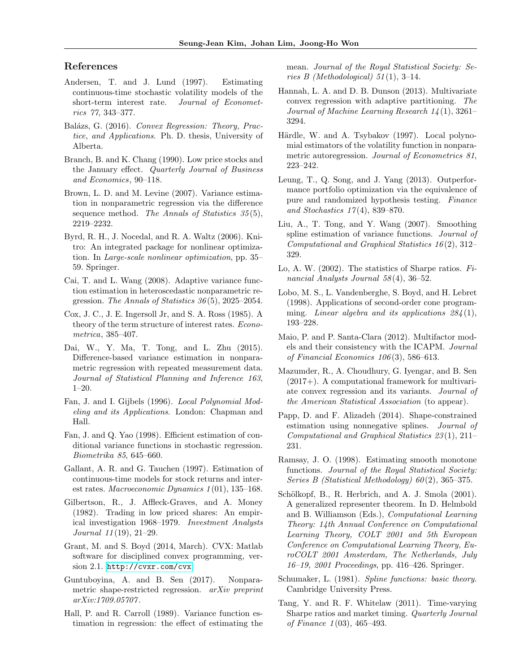# References

- <span id="page-8-19"></span>Andersen, T. and J. Lund (1997). Estimating continuous-time stochastic volatility models of the short-term interest rate. Journal of Econometrics 77, 343–377.
- <span id="page-8-25"></span>Balázs, G. (2016). Convex Regression: Theory, Practice, and Applications. Ph. D. thesis, University of Alberta.
- <span id="page-8-22"></span>Branch, B. and K. Chang (1990). Low price stocks and the January effect. Quarterly Journal of Business and Economics, 90–118.
- <span id="page-8-10"></span>Brown, L. D. and M. Levine (2007). Variance estimation in nonparametric regression via the difference sequence method. The Annals of Statistics  $35(5)$ , 2219–2232.
- <span id="page-8-17"></span>Byrd, R. H., J. Nocedal, and R. A. Waltz (2006). Knitro: An integrated package for nonlinear optimization. In Large-scale nonlinear optimization, pp. 35– 59. Springer.
- <span id="page-8-6"></span>Cai, T. and L. Wang (2008). Adaptive variance function estimation in heteroscedastic nonparametric regression. The Annals of Statistics 36 (5), 2025–2054.
- <span id="page-8-23"></span>Cox, J. C., J. E. Ingersoll Jr, and S. A. Ross (1985). A theory of the term structure of interest rates. Econometrica, 385–407.
- <span id="page-8-11"></span>Dai, W., Y. Ma, T. Tong, and L. Zhu (2015). Difference-based variance estimation in nonparametric regression with repeated measurement data. Journal of Statistical Planning and Inference 163, 1–20.
- <span id="page-8-7"></span>Fan, J. and I. Gijbels (1996). Local Polynomial Modeling and its Applications. London: Chapman and Hall.
- <span id="page-8-8"></span>Fan, J. and Q. Yao (1998). Efficient estimation of conditional variance functions in stochastic regression. Biometrika 85, 645–660.
- <span id="page-8-20"></span>Gallant, A. R. and G. Tauchen (1997). Estimation of continuous-time models for stock returns and interest rates. Macroeconomic Dynamics 1 (01), 135–168.
- <span id="page-8-21"></span>Gilbertson, R., J. Affleck-Graves, and A. Money (1982). Trading in low priced shares: An empirical investigation 1968–1979. Investment Analysts Journal 11 (19), 21–29.
- <span id="page-8-18"></span>Grant, M. and S. Boyd (2014, March). CVX: Matlab software for disciplined convex programming, version 2.1. <http://cvxr.com/cvx>.
- <span id="page-8-27"></span>Guntuboyina, A. and B. Sen (2017). Nonparametric shape-restricted regression. arXiv preprint arXiv:1709.05707 .
- <span id="page-8-5"></span>Hall, P. and R. Carroll (1989). Variance function estimation in regression: the effect of estimating the

mean. Journal of the Royal Statistical Society: Series B (Methodological)  $51(1)$ , 3-14.

- <span id="page-8-24"></span>Hannah, L. A. and D. B. Dunson (2013). Multivariate convex regression with adaptive partitioning. The Journal of Machine Learning Research 14 (1), 3261– 3294.
- <span id="page-8-4"></span>Härdle, W. and A. Tsybakov (1997). Local polynomial estimators of the volatility function in nonparametric autoregression. Journal of Econometrics 81, 223–242.
- <span id="page-8-1"></span>Leung, T., Q. Song, and J. Yang (2013). Outperformance portfolio optimization via the equivalence of pure and randomized hypothesis testing. Finance and Stochastics  $17(4)$ , 839–870.
- <span id="page-8-9"></span>Liu, A., T. Tong, and Y. Wang (2007). Smoothing spline estimation of variance functions. Journal of Computational and Graphical Statistics 16 (2), 312– 329.
- <span id="page-8-0"></span>Lo, A. W. (2002). The statistics of Sharpe ratios. Financial Analysts Journal 58 (4), 36–52.
- <span id="page-8-16"></span>Lobo, M. S., L. Vandenberghe, S. Boyd, and H. Lebret (1998). Applications of second-order cone programming. Linear algebra and its applications  $284(1)$ , 193–228.
- <span id="page-8-3"></span>Maio, P. and P. Santa-Clara (2012). Multifactor models and their consistency with the ICAPM. Journal of Financial Economics  $106(3)$ , 586–613.
- <span id="page-8-26"></span>Mazumder, R., A. Choudhury, G. Iyengar, and B. Sen  $(2017+)$ . A computational framework for multivariate convex regression and its variants. Journal of the American Statistical Association (to appear).
- <span id="page-8-14"></span>Papp, D. and F. Alizadeh (2014). Shape-constrained estimation using nonnegative splines. Journal of Computational and Graphical Statistics 23 (1), 211– 231.
- <span id="page-8-13"></span>Ramsay, J. O. (1998). Estimating smooth monotone functions. Journal of the Royal Statistical Society: Series B (Statistical Methodology)  $60(2)$ , 365-375.
- <span id="page-8-12"></span>Schölkopf, B., R. Herbrich, and A. J. Smola (2001). A generalized representer theorem. In D. Helmbold and B. Williamson (Eds.), Computational Learning Theory: 14th Annual Conference on Computational Learning Theory, COLT 2001 and 5th European Conference on Computational Learning Theory, EuroCOLT 2001 Amsterdam, The Netherlands, July 16–19, 2001 Proceedings, pp. 416–426. Springer.
- <span id="page-8-15"></span>Schumaker, L. (1981). Spline functions: basic theory. Cambridge University Press.
- <span id="page-8-2"></span>Tang, Y. and R. F. Whitelaw (2011). Time-varying Sharpe ratios and market timing. Quarterly Journal of Finance 1 (03), 465–493.